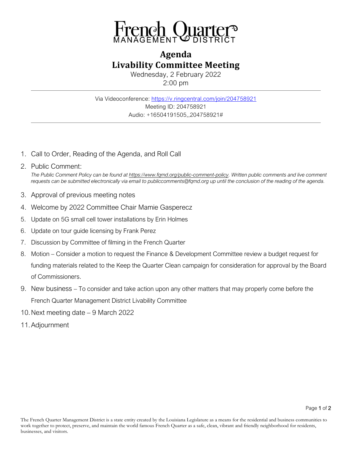

## **Agenda Livability Committee Meeting**

Wednesday, 2 February 2022 2:00 pm

Via Videoconference: <https://v.ringcentral.com/join/204758921> Meeting ID: 204758921 Audio: +16504191505,,204758921#

1. Call to Order, Reading of the Agenda, and Roll Call

## 2. Public Comment: *The Public Comment Policy can be found a[t https://www.fqmd.org/public-comment-policy.](https://www.fqmd.org/public-comment-policy) Written public comments and live comment requests can be submitted electronically via email to publiccomments@fqmd.org up until the conclusion of the reading of the agenda.*

- 3. Approval of previous meeting notes
- 4. Welcome by 2022 Committee Chair Mamie Gasperecz
- 5. Update on 5G small cell tower installations by Erin Holmes
- 6. Update on tour guide licensing by Frank Perez
- 7. Discussion by Committee of filming in the French Quarter
- 8. Motion Consider a motion to request the Finance & Development Committee review a budget request for funding materials related to the Keep the Quarter Clean campaign for consideration for approval by the Board of Commissioners.
- 9. New business To consider and take action upon any other matters that may properly come before the French Quarter Management District Livability Committee
- 10.Next meeting date 9 March 2022
- 11.Adjournment